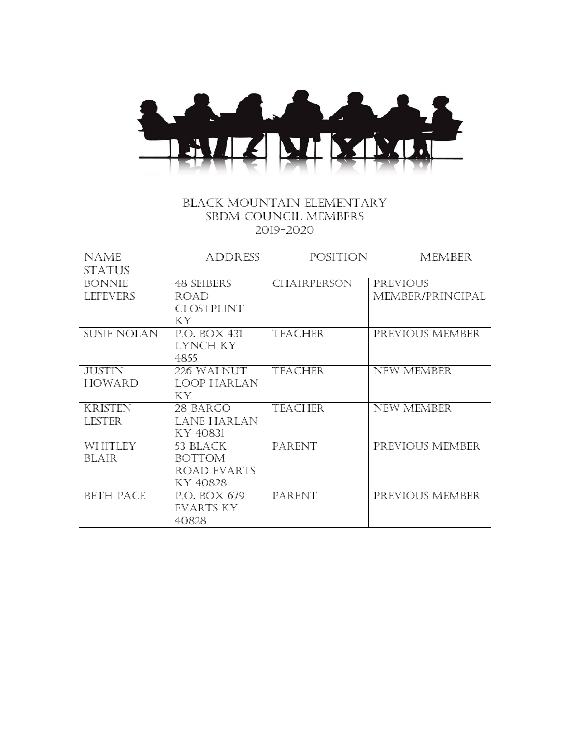

## Black mountain elementary SBDM COUNCIL MEMBERS 2019-2020

| <b>NAME</b>        | <b>ADDRESS</b>     | POSITION           | <b>MEMBER</b>     |
|--------------------|--------------------|--------------------|-------------------|
| <b>STATUS</b>      |                    |                    |                   |
| <b>BONNIE</b>      | <b>48 SEIBERS</b>  | <b>CHAIRPERSON</b> | <b>PREVIOUS</b>   |
| <b>LEFEVERS</b>    | ROAD               |                    | MEMBER/PRINCIPAL  |
|                    | <b>CLOSTPLINT</b>  |                    |                   |
|                    | KY.                |                    |                   |
| <b>SUSIE NOLAN</b> | P.O. BOX 431       | <b>TEACHER</b>     | PREVIOUS MEMBER   |
|                    | LYNCH KY           |                    |                   |
|                    | 4855               |                    |                   |
| <b>JUSTIN</b>      | 226 WALNUT         | <b>TEACHER</b>     | <b>NEW MEMBER</b> |
| <b>HOWARD</b>      | <b>LOOP HARLAN</b> |                    |                   |
|                    | KY                 |                    |                   |
| <b>KRISTEN</b>     | 28 BARGO           | <b>TEACHER</b>     | <b>NEW MEMBER</b> |
| <b>LESTER</b>      | <b>LANE HARLAN</b> |                    |                   |
|                    | KY 40831           |                    |                   |
| WHITLEY            | 53 BLACK           | <b>PARENT</b>      | PREVIOUS MEMBER   |
| <b>BLAIR</b>       | <b>BOTTOM</b>      |                    |                   |
|                    | <b>ROAD EVARTS</b> |                    |                   |
|                    | KY 40828           |                    |                   |
| <b>BETH PACE</b>   | P.O. BOX 679       | <b>PARENT</b>      | PREVIOUS MEMBER   |
|                    | EVARTS KY          |                    |                   |
|                    | 40828              |                    |                   |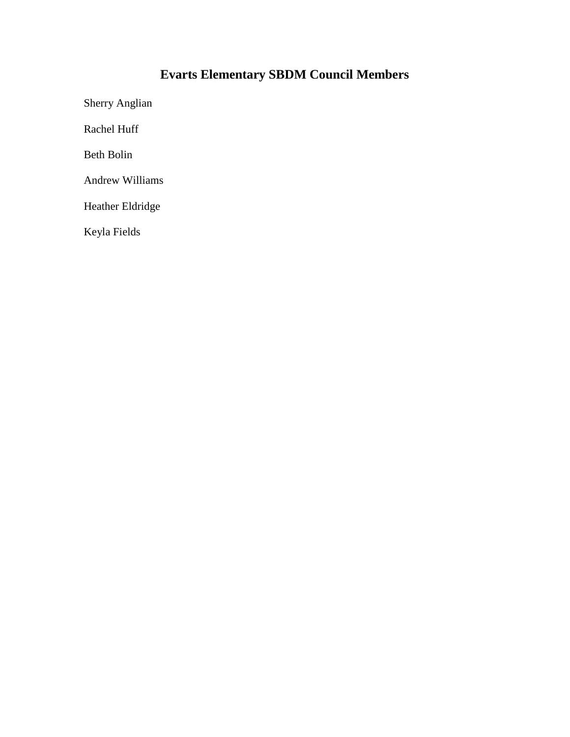# **Evarts Elementary SBDM Council Members**

Sherry Anglian

Rachel Huff

Beth Bolin

Andrew Williams

Heather Eldridge

Keyla Fields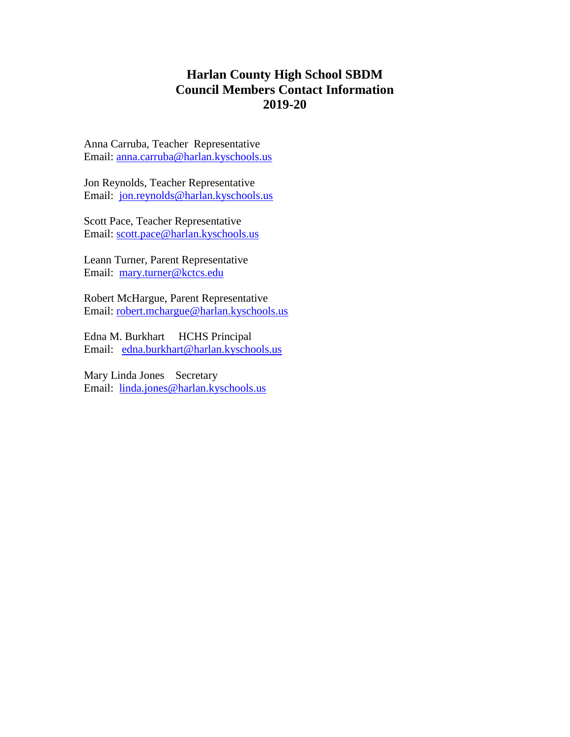# **Harlan County High School SBDM Council Members Contact Information 2019-20**

Anna Carruba, Teacher Representative Email: [anna.carruba@harlan.kyschools.us](mailto:anna.carruba@harlan.kyschools.us)

Jon Reynolds, Teacher Representative Email: [jon.reynolds@harlan.kyschools.us](mailto:jon.reynolds@harlan.kyschools.us)

Scott Pace, Teacher Representative Email: [scott.pace@harlan.kyschools.us](mailto:scott.pace@harlan.kyschools.us)

Leann Turner, Parent Representative Email: [mary.turner@kctcs.edu](mailto:mary.turner@kctcs.edu)

Robert McHargue, Parent Representative Email: [robert.mchargue@harlan.kyschools.us](mailto:robert.mchargue@harlan.kyschools.us)

Edna M. Burkhart HCHS Principal Email: [edna.burkhart@harlan.kyschools.us](mailto:edna.burkhart@harlan.kyschools.us)

Mary Linda Jones Secretary Email: [linda.jones@harlan.kyschools.us](mailto:linda.jones@harlan.kyschools.us)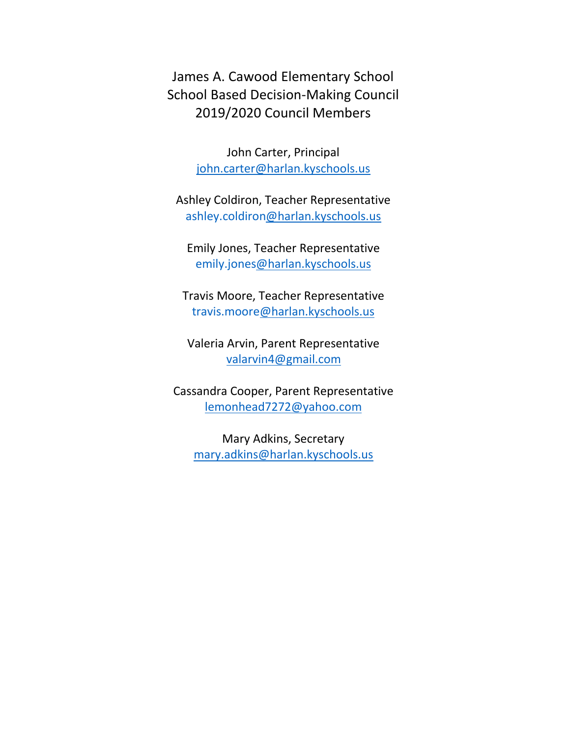James A. Cawood Elementary School School Based Decision-Making Council 2019/2020 Council Members

> John Carter, Principal [john.carter@harlan.kyschools.us](mailto:john.carter@harlan.kyschools.us)

Ashley Coldiron, Teacher Representative ashley.coldiro[n@harlan.kyschools.us](mailto:connie.engle@harlan.kyschools.us)

Emily Jones, Teacher Representative emily.jone[s@harlan.kyschools.us](mailto:Kimberly.hall@harlan.kyschools.us)

Travis Moore, Teacher Representative travis.moor[e@harlan.kyschools.us](mailto:connie.engle@harlan.kyschools.us)

Valeria Arvin, Parent Representative [valarvin4@gmail.com](mailto:valarvin4@gmail.com)

Cassandra Cooper, Parent Representative lemonhead727[2@yahoo.com](mailto:walt682003@yahoo.com)

Mary Adkins, Secretary [mary.adkins@harlan.kyschools.us](mailto:mary.adkins@harlan.kyschools.us)